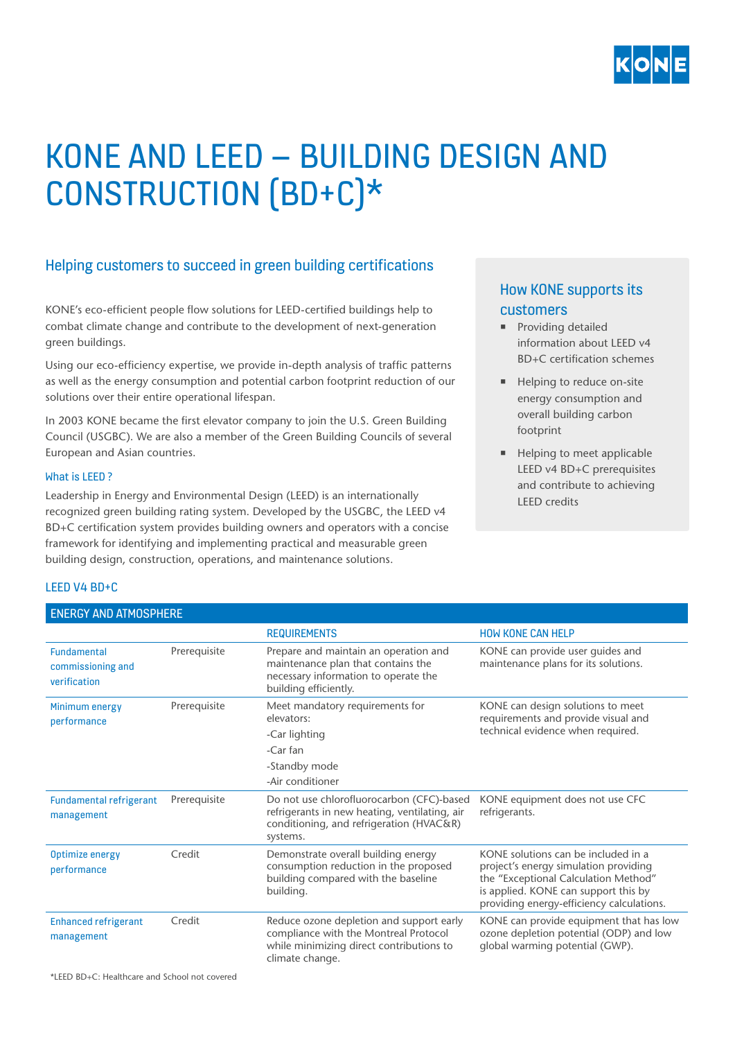

# KONE AND LEED – BUILDING DESIGN AND CONSTRUCTION (BD+C)\*

## Helping customers to succeed in green building certifications

KONE's eco-efficient people flow solutions for LEED-certified buildings help to combat climate change and contribute to the development of next-generation green buildings.

Using our eco-efficiency expertise, we provide in-depth analysis of traffic patterns as well as the energy consumption and potential carbon footprint reduction of our solutions over their entire operational lifespan.

In 2003 KONE became the first elevator company to join the U.S. Green Building Council (USGBC). We are also a member of the Green Building Councils of several European and Asian countries.

### What is LEED ?

Leadership in Energy and Environmental Design (LEED) is an internationally recognized green building rating system. Developed by the USGBC, the LEED v4 BD+C certification system provides building owners and operators with a concise framework for identifying and implementing practical and measurable green building design, construction, operations, and maintenance solutions.

## How KONE supports its customers

- **•** Providing detailed information about LEED v4 BD+C certification schemes
- **EXECUTE:** Helping to reduce on-site energy consumption and overall building carbon footprint
- Helping to meet applicable LEED v4 BD+C prerequisites and contribute to achieving LEED credits

## LEED V4 BD+C

### ENERGY AND ATMOSPHERE

|                                                  |              | <b>REQUIREMENTS</b>                                                                                                                                | <b>HOW KONE CAN HELP</b>                                                                                                                                                                                  |
|--------------------------------------------------|--------------|----------------------------------------------------------------------------------------------------------------------------------------------------|-----------------------------------------------------------------------------------------------------------------------------------------------------------------------------------------------------------|
| Fundamental<br>commissioning and<br>verification | Prerequisite | Prepare and maintain an operation and<br>maintenance plan that contains the<br>necessary information to operate the<br>building efficiently.       | KONE can provide user guides and<br>maintenance plans for its solutions.                                                                                                                                  |
| Minimum energy<br>performance                    | Prerequisite | Meet mandatory requirements for<br>elevators:                                                                                                      | KONE can design solutions to meet<br>requirements and provide visual and<br>technical evidence when required.                                                                                             |
|                                                  |              | -Car lighting                                                                                                                                      |                                                                                                                                                                                                           |
|                                                  |              | -Car fan                                                                                                                                           |                                                                                                                                                                                                           |
|                                                  |              | -Standby mode                                                                                                                                      |                                                                                                                                                                                                           |
|                                                  |              | -Air conditioner                                                                                                                                   |                                                                                                                                                                                                           |
| <b>Fundamental refrigerant</b><br>management     | Prerequisite | Do not use chlorofluorocarbon (CFC)-based<br>refrigerants in new heating, ventilating, air<br>conditioning, and refrigeration (HVAC&R)<br>systems. | KONE equipment does not use CFC<br>refrigerants.                                                                                                                                                          |
| Optimize energy<br>performance                   | Credit       | Demonstrate overall building energy<br>consumption reduction in the proposed<br>building compared with the baseline<br>building.                   | KONE solutions can be included in a<br>project's energy simulation providing<br>the "Exceptional Calculation Method"<br>is applied. KONE can support this by<br>providing energy-efficiency calculations. |
| <b>Enhanced refrigerant</b><br>management        | Credit       | Reduce ozone depletion and support early<br>compliance with the Montreal Protocol<br>while minimizing direct contributions to<br>climate change.   | KONE can provide equipment that has low<br>ozone depletion potential (ODP) and low<br>global warming potential (GWP).                                                                                     |

\*LEED BD+C: Healthcare and School not covered